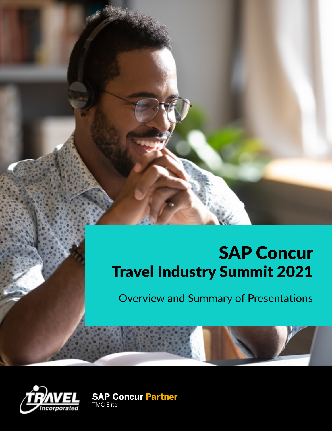# SAP Concur Travel Industry Summit 2021

Overview and Summary of Presentations



**SAP Concur Partner**<br>TMC Elite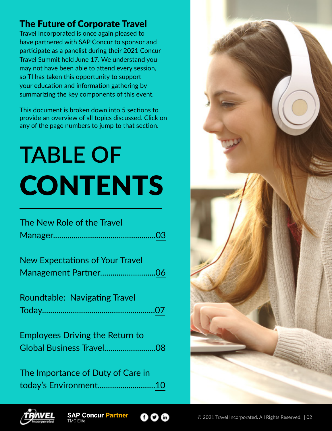#### The Future of Corporate Travel

Travel Incorporated is once again pleased to have partnered with SAP Concur to sponsor and participate as a panelist during their 2021 Concur Travel Summit held June 17. We understand you may not have been able to attend every session, so TI has taken this opportunity to support your education and information gathering by summarizing the key components of this event.

This document is broken down into 5 sections to provide an overview of all topics discussed. Click on any of the page numbers to jump to that section.

# **TABLE OF CONTENTS**

| The New Role of the Travel                                         |
|--------------------------------------------------------------------|
| <b>New Expectations of Your Travel</b>                             |
| <b>Roundtable: Navigating Travel</b>                               |
| <b>Employees Driving the Return to</b><br>Global Business Travel08 |
| The Importance of Duty of Care in                                  |

today's Environment...........................[.10](#page-9-0)





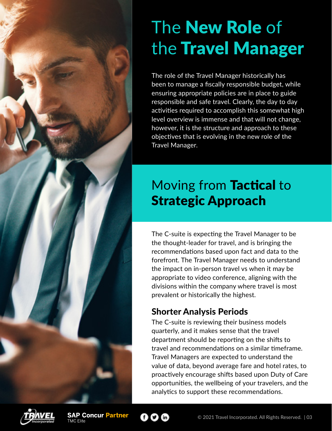# <span id="page-2-0"></span>The New Role of the Travel Manager

The role of the Travel Manager historically has been to manage a fiscally responsible budget, while ensuring appropriate policies are in place to guide responsible and safe travel. Clearly, the day to day activities required to accomplish this somewhat high level overview is immense and that will not change, however, it is the structure and approach to these objectives that is evolving in the new role of the Travel Manager.

# Moving from Tactical to Strategic Approach

The C-suite is expecting the Travel Manager to be the thought-leader for travel, and is bringing the recommendations based upon fact and data to the forefront. The Travel Manager needs to understand the impact on in-person travel vs when it may be appropriate to video conference, aligning with the divisions within the company where travel is most prevalent or historically the highest.

### Shorter Analysis Periods

The C-suite is reviewing their business models quarterly, and it makes sense that the travel department should be reporting on the shifts to travel and recommendations on a similar timeframe. Travel Managers are expected to understand the value of data, beyond average fare and hotel rates, to proactively encourage shifts based upon Duty of Care opportunities, the wellbeing of your travelers, and the analytics to support these recommendations.



**SAP Concur Partner** 



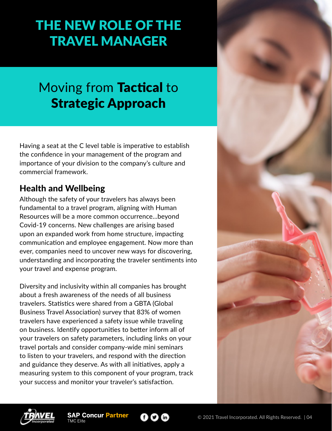# THE NEW ROLE OF THE TRAVEL MANAGER

## Moving from Tactical to Strategic Approach

Having a seat at the C level table is imperative to establish the confidence in your management of the program and importance of your division to the company's culture and commercial framework.

#### Health and Wellbeing

Although the safety of your travelers has always been fundamental to a travel program, aligning with Human Resources will be a more common occurrence...beyond Covid-19 concerns. New challenges are arising based upon an expanded work from home structure, impacting communication and employee engagement. Now more than ever, companies need to uncover new ways for discovering, understanding and incorporating the traveler sentiments into your travel and expense program.

Diversity and inclusivity within all companies has brought about a fresh awareness of the needs of all business travelers. Statistics were shared from a GBTA (Global Business Travel Association) survey that 83% of women travelers have experienced a safety issue while traveling on business. Identify opportunities to better inform all of your travelers on safety parameters, including links on your travel portals and consider company-wide mini seminars to listen to your travelers, and respond with the direction and guidance they deserve. As with all initiatives, apply a measuring system to this component of your program, track your success and monitor your traveler's satisfaction.





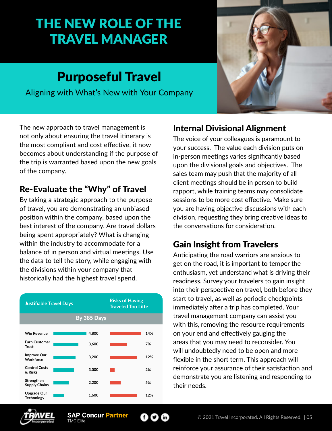# THE NEW ROLE OF THE TRAVEL MANAGER

### Purposeful Travel

Aligning with What's New with Your Company



The new approach to travel management is not only about ensuring the travel itinerary is the most compliant and cost effective, it now becomes about understanding if the purpose of the trip is warranted based upon the new goals of the company.

#### Re-Evaluate the "Why" of Travel

By taking a strategic approach to the purpose of travel, you are demonstrating an unbiased position within the company, based upon the best interest of the company. Are travel dollars being spent appropriately? What is changing within the industry to accommodate for a balance of in person and virtual meetings. Use the data to tell the story, while engaging with the divisions within your company that historically had the highest travel spend.



### Internal Divisional Alignment

The voice of your colleagues is paramount to your success. The value each division puts on in-person meetings varies significantly based upon the divisional goals and objectives. The sales team may push that the majority of all client meetings should be in person to build rapport, while training teams may consolidate sessions to be more cost effective. Make sure you are having objective discussions with each division, requesting they bring creative ideas to the conversations for consideration.

### Gain Insight from Travelers

Anticipating the road warriors are anxious to get on the road, it is important to temper the enthusiasm, yet understand what is driving their readiness. Survey your travelers to gain insight into their perspective on travel, both before they start to travel, as well as periodic checkpoints immediately after a trip has completed. Your travel management company can assist you with this, removing the resource requirements on your end and effectively gauging the areas that you may need to reconsider. You will undoubtedly need to be open and more flexible in the short term. This approach will reinforce your assurance of their satisfaction and demonstrate you are listening and responding to their needs.



60 G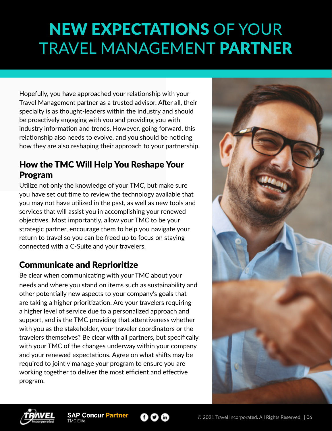# <span id="page-5-0"></span>NEW EXPECTATIONS OF YOUR TRAVEL MANAGEMENT PARTNER

Hopefully, you have approached your relationship with your Travel Management partner as a trusted advisor. After all, their specialty is as thought-leaders within the industry and should be proactively engaging with you and providing you with industry information and trends. However, going forward, this relationship also needs to evolve, and you should be noticing how they are also reshaping their approach to your partnership.

#### How the TMC Will Help You Reshape Your Program

Utilize not only the knowledge of your TMC, but make sure you have set out time to review the technology available that you may not have utilized in the past, as well as new tools and services that will assist you in accomplishing your renewed objectives. Most importantly, allow your TMC to be your strategic partner, encourage them to help you navigate your return to travel so you can be freed up to focus on staying connected with a C-Suite and your travelers.

#### Communicate and Reprioritize

Be clear when communicating with your TMC about your needs and where you stand on items such as sustainability and other potentially new aspects to your company's goals that are taking a higher prioritization. Are your travelers requiring a higher level of service due to a personalized approach and support, and is the TMC providing that attentiveness whether with you as the stakeholder, your traveler coordinators or the travelers themselves? Be clear with all partners, but specifically with your TMC of the changes underway within your company and your renewed expectations. Agree on what shifts may be required to jointly manage your program to ensure you are working together to deliver the most efficient and effective program.





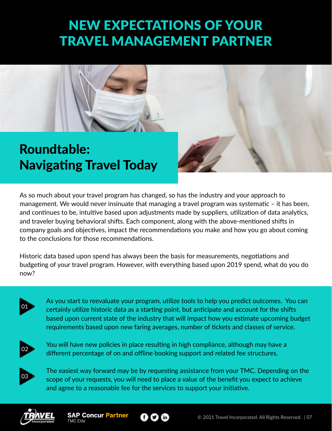# NEW EXPECTATIONS OF YOUR TRAVEL MANAGEMENT PARTNER

<span id="page-6-0"></span>

As so much about your travel program has changed, so has the industry and your approach to management. We would never insinuate that managing a travel program was systematic – it has been, and continues to be, intuitive based upon adjustments made by suppliers, utilization of data analytics, and traveler buying behavioral shifts. Each component, along with the above-mentioned shifts in company goals and objectives, impact the recommendations you make and how you go about coming to the conclusions for those recommendations.

Historic data based upon spend has always been the basis for measurements, negotiations and budgeting of your travel program. However, with everything based upon 2019 spend, what do you do now?



As you start to reevaluate your program, utilize tools to help you predict outcomes. You can certainly utilize historic data as a starting point, but anticipate and account for the shifts based upon current state of the industry that will impact how you estimate upcoming budget requirements based upon new faring averages, number of tickets and classes of service.



You will have new policies in place resulting in high compliance, although may have a different percentage of on and offline booking support and related fee structures.



The easiest way forward may be by requesting assistance from your TMC. Depending on the scope of your requests, you will need to place a value of the benefit you expect to achieve and agree to a reasonable fee for the services to support your initiative.



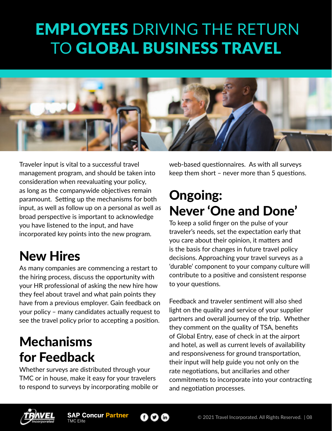# <span id="page-7-0"></span> EMPLOYEES DRIVING THE RETURN TO GLOBAL BUSINESS TRAVEL



Traveler input is vital to a successful travel management program, and should be taken into consideration when reevaluating your policy, as long as the companywide objectives remain paramount. Setting up the mechanisms for both input, as well as follow up on a personal as well as broad perspective is important to acknowledge you have listened to the input, and have incorporated key points into the new program.

### New Hires

As many companies are commencing a restart to the hiring process, discuss the opportunity with your HR professional of asking the new hire how they feel about travel and what pain points they have from a previous employer. Gain feedback on your policy – many candidates actually request to see the travel policy prior to accepting a position.

## Mechanisms for Feedback

Whether surveys are distributed through your TMC or in house, make it easy for your travelers to respond to surveys by incorporating mobile or web-based questionnaires. As with all surveys keep them short – never more than 5 questions.

### Ongoing: Never 'One and Done'

To keep a solid finger on the pulse of your traveler's needs, set the expectation early that you care about their opinion, it matters and is the basis for changes in future travel policy decisions. Approaching your travel surveys as a 'durable' component to your company culture will contribute to a positive and consistent response to your questions.

Feedback and traveler sentiment will also shed light on the quality and service of your supplier partners and overall journey of the trip. Whether they comment on the quality of TSA, benefits of Global Entry, ease of check in at the airport and hotel, as well as current levels of availability and responsiveness for ground transportation, their input will help guide you not only on the rate negotiations, but ancillaries and other commitments to incorporate into your contracting and negotiation processes.



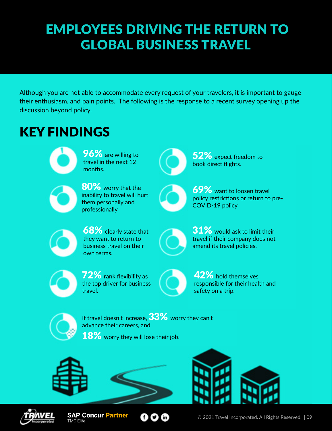# EMPLOYEES DRIVING THE RETURN TO GLOBAL BUSINESS TRAVEL

Although you are not able to accommodate every request of your travelers, it is important to gauge their enthusiasm, and pain points. The following is the response to a recent survey opening up the discussion beyond policy.

# KEY FINDINGS



96% are willing to travel in the next 12 months.



80% worry that the inability to travel will hurt them personally and professionally



52% expect freedom to book direct flights.



69% want to loosen travel policy restrictions or return to pre-COVID-19 policy



68% clearly state that they want to return to business travel on their own terms.



31% would ask to limit their travel if their company does not amend its travel policies.



72% rank flexibility as the top driver for business travel.



42% hold themselves responsible for their health and safety on a trip.



If travel doesn't increase, 33% worry they can't advance their careers, and

18% worry they will lose their job.